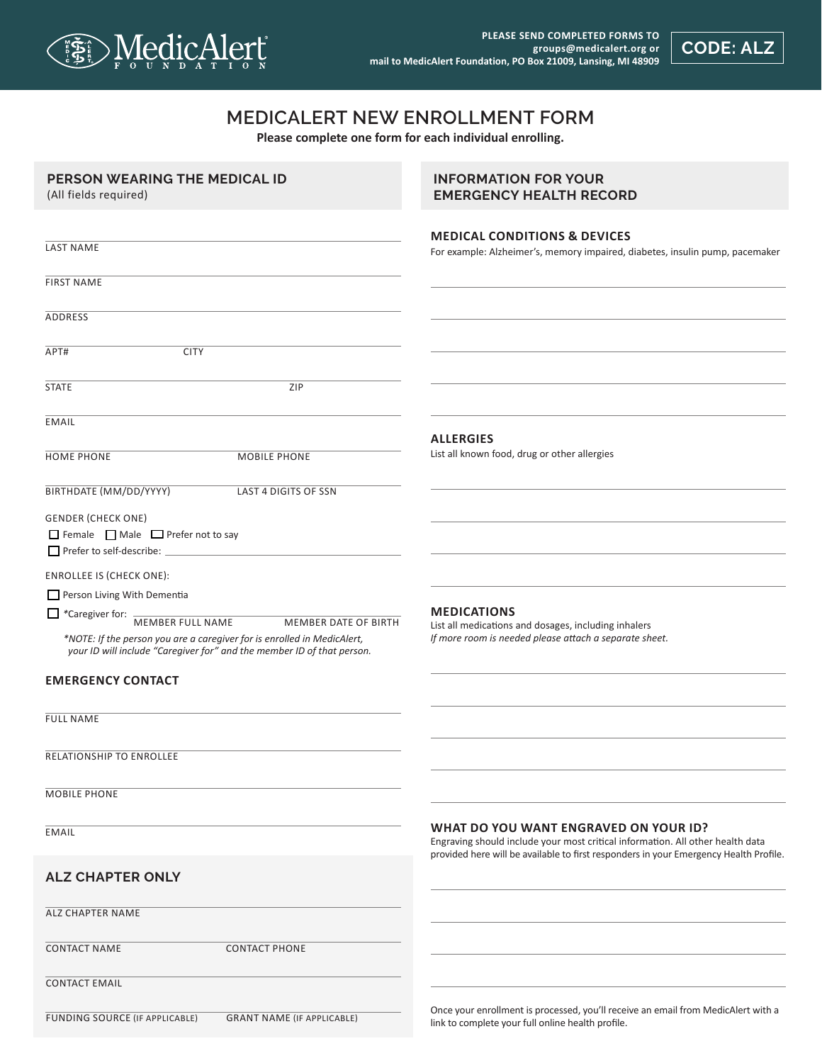

**CODE: ALZ**

## **MEDICALERT NEW ENROLLMENT FORM**

**Please complete one form for each individual enrolling.**

| PERSON WEARING THE MEDICAL ID<br>(All fields required)                                                                                            | <b>INFORMATION FOR YOUR</b><br><b>EMERGENCY HEALTH RECORD</b>                                                                                                                                                    |
|---------------------------------------------------------------------------------------------------------------------------------------------------|------------------------------------------------------------------------------------------------------------------------------------------------------------------------------------------------------------------|
|                                                                                                                                                   |                                                                                                                                                                                                                  |
| <b>LAST NAME</b>                                                                                                                                  | <b>MEDICAL CONDITIONS &amp; DEVICES</b><br>For example: Alzheimer's, memory impaired, diabetes, insulin pump, pacemaker                                                                                          |
| <b>FIRST NAME</b>                                                                                                                                 |                                                                                                                                                                                                                  |
| <b>ADDRESS</b>                                                                                                                                    |                                                                                                                                                                                                                  |
| <b>CITY</b><br>APT#                                                                                                                               |                                                                                                                                                                                                                  |
| ZIP<br><b>STATE</b>                                                                                                                               |                                                                                                                                                                                                                  |
| <b>EMAIL</b>                                                                                                                                      |                                                                                                                                                                                                                  |
|                                                                                                                                                   | <b>ALLERGIES</b>                                                                                                                                                                                                 |
| <b>HOME PHONE</b><br><b>MOBILE PHONE</b>                                                                                                          | List all known food, drug or other allergies                                                                                                                                                                     |
| BIRTHDATE (MM/DD/YYYY)<br>LAST 4 DIGITS OF SSN                                                                                                    |                                                                                                                                                                                                                  |
| <b>GENDER (CHECK ONE)</b><br>$\Box$ Female $\Box$ Male $\Box$ Prefer not to say<br>Prefer to self-describe:                                       |                                                                                                                                                                                                                  |
| <b>ENROLLEE IS (CHECK ONE):</b>                                                                                                                   |                                                                                                                                                                                                                  |
| Person Living With Dementia                                                                                                                       |                                                                                                                                                                                                                  |
| $\Box$ *Caregiver for:<br><b>MEMBER FULL NAME</b><br>MEMBER DATE OF BIRTH                                                                         | <b>MEDICATIONS</b>                                                                                                                                                                                               |
| *NOTE: If the person you are a caregiver for is enrolled in MedicAlert,<br>your ID will include "Caregiver for" and the member ID of that person. | List all medications and dosages, including inhalers<br>If more room is needed please attach a separate sheet.                                                                                                   |
| <b>EMERGENCY CONTACT</b>                                                                                                                          |                                                                                                                                                                                                                  |
| <b>FULL NAME</b>                                                                                                                                  |                                                                                                                                                                                                                  |
| RELATIONSHIP TO ENROLLEE                                                                                                                          |                                                                                                                                                                                                                  |
| <b>MOBILE PHONE</b>                                                                                                                               |                                                                                                                                                                                                                  |
| <b>EMAIL</b>                                                                                                                                      | WHAT DO YOU WANT ENGRAVED ON YOUR ID?<br>Engraving should include your most critical information. All other health data<br>provided here will be available to first responders in your Emergency Health Profile. |
| <b>ALZ CHAPTER ONLY</b>                                                                                                                           |                                                                                                                                                                                                                  |
| <b>ALZ CHAPTER NAME</b>                                                                                                                           |                                                                                                                                                                                                                  |
|                                                                                                                                                   |                                                                                                                                                                                                                  |
| <b>CONTACT NAME</b><br><b>CONTACT PHONE</b>                                                                                                       |                                                                                                                                                                                                                  |
| <b>CONTACT EMAIL</b>                                                                                                                              |                                                                                                                                                                                                                  |
| FUNDING SOURCE (IF APPLICABLE)<br><b>GRANT NAME (IF APPLICABLE)</b>                                                                               | Once your enrollment is processed, you'll receive an email from MedicAlert with a<br>link to complete your full online health profile.                                                                           |